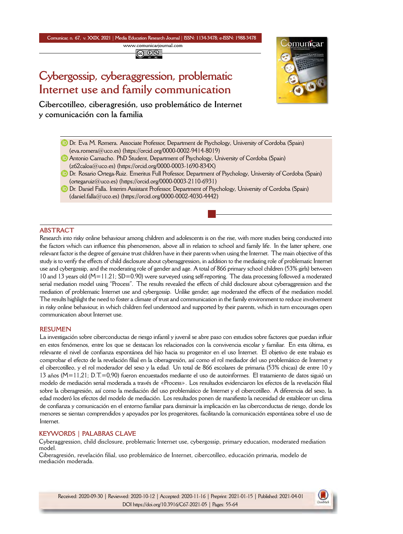**Comunicar, n. 67, v. XXIX, 2021** *|* **Media Education Research Journal** *|* **ISSN: 1134-3478; e-ISSN: 1988-3478 <www.comunicarjournal.com>**

@ 0ම

# **Cybergossip, cyberaggression, problematic Internet use and family communication**



**Cibercotilleo, ciberagresión, uso problemático de Internet y comunicación con la familia**

- Dr. Eva M. Romera. Associate Professor, Department de Psychology, University of Cordoba (Spain) [\(eva.romera@uco.es](mailto:eva.romera@uco.es)) [\(https://orcid.org/0000-0002-9414-8019\)](https://orcid.org/0000-0002-9414-8019)
- Antonio Camacho. PhD Student, Department of Psychology, University of Cordoba (Spain) [\(z62caloa@uco.es\)](mailto:z62caloa@uco.es) [\(https://orcid.org/0000-0003-1690-834X\)](https://orcid.org/0000-0003-1690-834X)
- **D** Dr. Rosario Ortega-Ruiz. Emeritus Full Professor, Department of Psychology, University of Cordoba (Spain) [\(ortegaruiz@uco.es\)](mailto:ortegaruiz@uco.es) (<https://orcid.org/0000-0003-2110-6931>)
- Dr. Daniel Falla. Interim Assistant Professor, Department of Psychology, University of Cordoba (Spain) [\(daniel.falla@uco.es](mailto:daniel.falla@uco.es)) ([https://orcid.org/0000-0002-4030-4442\)](https://orcid.org/0000-0002-4030-4442)

# **ABSTRACT**

Research into risky online behaviour among children and adolescents is on the rise, with more studies being conducted into the factors which can influence this phenomenon, above all in relation to school and family life. In the latter sphere, one relevant factor is the degree of genuine trust children have in their parents when using the Internet. The main objective of this study is to verify the effects of child disclosure about cyberaggression, in addition to the mediating role of problematic Internet use and cybergossip, and the moderating role of gender and age. A total of 866 primary school children (53% girls) between 10 and 13 years old (M=11.21; SD=0.90) were surveyed using self-reporting. The data processing followed a moderated serial mediation model using "Process". The results revealed the effects of child disclosure about cyberaggression and the mediation of problematic Internet use and cybergossip. Unlike gender, age moderated the effects of the mediation model. The results highlight the need to foster a climate of trust and communication in the family environment to reduce involvement in risky online behaviour, in which children feel understood and supported by their parents, which in turn encourages open communication about Internet use.

## **RESUMEN**

La investigación sobre ciberconductas de riesgo infantil y juvenil se abre paso con estudios sobre factores que puedan influir en estos fenómenos, entre los que se destacan los relacionados con la convivencia escolar y familiar. En esta última, es relevante el nivel de confianza espontánea del hijo hacia su progenitor en el uso Internet. El objetivo de este trabajo es comprobar el efecto de la revelación filial en la ciberagresión, así como el rol mediador del uso problemático de Internet y el cibercotilleo, y el rol moderador del sexo y la edad. Un total de 866 escolares de primaria (53% chicas) de entre 10 y 13 años (M=11,21; D.T.=0,90) fueron encuestados mediante el uso de autoinformes. El tratamiento de datos siguió un modelo de mediación serial moderada a través de «Process». Los resultados evidenciaron los efectos de la revelación filial sobre la ciberagresión, así como la mediación del uso problemático de Internet y el cibercotilleo. A diferencia del sexo, la edad moderó los efectos del modelo de mediación. Los resultados ponen de manifiesto la necesidad de establecer un clima de confianza y comunicación en el entorno familiar para disminuir la implicación en las ciberconductas de riesgo, donde los menores se sientan comprendidos y apoyados por los progenitores, facilitando la comunicación espontánea sobre el uso de Internet.

## **KEYWORDS | PALABRAS CLAVE**

Cyberaggression, child disclosure, problematic Internet use, cybergossip, primary education, moderated mediation model.

Ciberagresión, revelación filial, uso problemático de Internet, cibercotilleo, educación primaria, modelo de mediación moderada.

Received: 2020-09-30 | Reviewed: 2020-10-12 | Accepted: 2020-11-16 | Preprint: 2021-01-15 | Published: 2021-04-01 DOI https://doi.org/10.3916/C67-2021-05 | Pages: 55-64

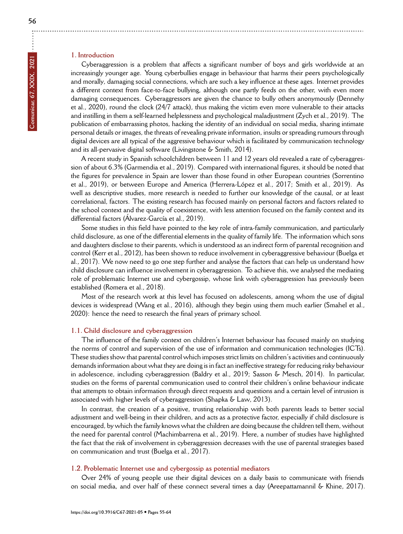## **1. Introduction**

Cyberaggression is a problem that affects a significant number of boys and girls worldwide at an increasingly younger age. Young cyberbullies engage in behaviour that harms their peers psychologically and morally, damaging social connections, which are such a key influence at these ages. Internet provides a different context from face-to-face bullying, although one partly feeds on the other, with even more damaging consequences. Cyberaggressors are given the chance to bully others anonymously (Dennehy et al., 2020), round the clock (24/7 attack), thus making the victim even more vulnerable to their attacks and instilling in them a self-learned helplessness and psychological maladjustment (Zych et al., 2019). The publication of embarrassing photos, hacking the identity of an individual on social media, sharing intimate personal details or images, the threats of revealing private information, insults or spreading rumours through digital devices are all typical of the aggressive behaviour which is facilitated by communication technology and its all-pervasive digital software (Livingstone & Smith, 2014).

A recent study in Spanish schoolchildren between 11 and 12 years old revealed a rate of cyberaggression of about 6.3% (Garmendia et al., 2019). Compared with international figures, it should be noted that the figures for prevalence in Spain are lower than those found in other European countries (Sorrentino et al., 2019), or between Europe and America (Herrera-López et al., 2017; Smith et al., 2019). As well as descriptive studies, more research is needed to further our knowledge of the causal, or at least correlational, factors. The existing research has focused mainly on personal factors and factors related to the school context and the quality of coexistence, with less attention focused on the family context and its differential factors (Álvarez-García et al., 2019).

Some studies in this field have pointed to the key role of intra-family communication, and particularly child disclosure, as one of the differential elements in the quality of family life. The information which sons and daughters disclose to their parents, which is understood as an indirect form of parental recognition and control (Kerr et al., 2012), has been shown to reduce involvement in cyberaggressive behaviour (Buelga et al., 2017). We now need to go one step further and analyse the factors that can help us understand how child disclosure can influence involvement in cyberaggression. To achieve this, we analysed the mediating role of problematic Internet use and cybergossip, whose link with cyberaggression has previously been established (Romera et al., 2018).

Most of the research work at this level has focused on adolescents, among whom the use of digital devices is widespread (Wang et al., 2016), although they begin using them much earlier (Smahel et al., 2020): hence the need to research the final years of primary school.

#### **1.1. Child disclosure and cyberaggression**

The influence of the family context on children's Internet behaviour has focused mainly on studying the norms of control and supervision of the use of information and communication technologies (ICTs). These studies show that parental control which imposes strict limits on children's activities and continuously demands information about what they are doing is in fact an ineffective strategy for reducing risky behaviour in adolescence, including cyberaggression (Baldry et al., 2019; Sasson & Mesch, 2014). In particular, studies on the forms of parental communication used to control their children's online behaviour indicate that attempts to obtain information through direct requests and questions and a certain level of intrusion is associated with higher levels of cyberaggression (Shapka & Law, 2013).

In contrast, the creation of a positive, trusting relationship with both parents leads to better social adjustment and well-being in their children, and acts as a protective factor, especially if child disclosure is encouraged, by which the family knows what the children are doing because the children tell them, without the need for parental control (Machimbarrena et al., 2019). Here, a number of studies have highlighted the fact that the risk of involvement in cyberaggression decreases with the use of parental strategies based on communication and trust (Buelga et al., 2017).

## **1.2. Problematic Internet use and cybergossip as potential mediators**

Over 24% of young people use their digital devices on a daily basis to communicate with friends on social media, and over half of these connect several times a day (Areepattamannil & Khine, 2017).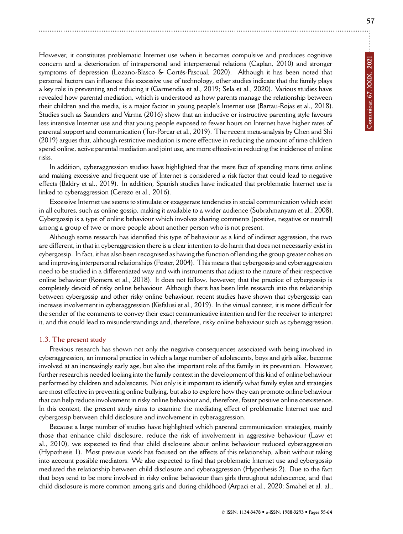**57**

However, it constitutes problematic Internet use when it becomes compulsive and produces cognitive concern and a deterioration of intrapersonal and interpersonal relations (Caplan, 2010) and stronger symptoms of depression (Lozano-Blasco & Cortés-Pascual, 2020). Although it has been noted that personal factors can influence this excessive use of technology, other studies indicate that the family plays a key role in preventing and reducing it (Garmendia et al., 2019; Sela et al., 2020). Various studies have revealed how parental mediation, which is understood as how parents manage the relationship between their children and the media, is a major factor in young people's Internet use (Bartau-Rojas et al., 2018). Studies such as Saunders and Varma (2016) show that an inductive or instructive parenting style favours less intensive Internet use and that young people exposed to fewer hours on Internet have higher rates of parental support and communication (Tur-Porcar et al., 2019). The recent meta-analysis by Chen and Shi (2019) argues that, although restrictive mediation is more effective in reducing the amount of time children spend online, active parental mediation and joint use, are more effective in reducing the incidence of online risks.

In addition, cyberaggression studies have highlighted that the mere fact of spending more time online and making excessive and frequent use of Internet is considered a risk factor that could lead to negative effects (Baldry et al., 2019). In addition, Spanish studies have indicated that problematic Internet use is linked to cyberaggression (Cerezo et al., 2016).

Excessive Internet use seems to stimulate or exaggerate tendencies in social communication which exist in all cultures, such as online gossip, making it available to a wider audience (Subrahmanyam et al., 2008). Cybergossip is a type of online behaviour which involves sharing comments (positive, negative or neutral) among a group of two or more people about another person who is not present.

Although some research has identified this type of behaviour as a kind of indirect aggression, the two are different, in that in cyberaggression there is a clear intention to do harm that does not necessarily exist in cybergossip. In fact, it has also been recognised as having the function of lending the group greater cohesion and improving interpersonal relationships (Foster, 2004). This means that cybergossip and cyberaggression need to be studied in a differentiated way and with instruments that adjust to the nature of their respective online behaviour (Romera et al., 2018). It does not follow, however, that the practice of cybergossip is completely devoid of risky online behaviour. Although there has been little research into the relationship between cybergossip and other risky online behaviour, recent studies have shown that cybergossip can increase involvement in cyberaggression (Kisfalusi et al., 2019). In the virtual context, it is more difficult for the sender of the comments to convey their exact communicative intention and for the receiver to interpret it, and this could lead to misunderstandings and, therefore, risky online behaviour such as cyberaggression.

## **1.3. The present study**

Previous research has shown not only the negative consequences associated with being involved in cyberaggression, an immoral practice in which a large number of adolescents, boys and girls alike, become involved at an increasingly early age, but also the important role of the family in its prevention. However, further research is needed looking into the family context in the development of this kind of online behaviour performed by children and adolescents. Not only is it important to identify what family styles and strategies are most effective in preventing online bullying, but also to explore how they can promote online behaviour that can help reduce involvement in risky online behaviour and, therefore, foster positive online coexistence. In this context, the present study aims to examine the mediating effect of problematic Internet use and cybergossip between child disclosure and involvement in cyberaggression.

Because a large number of studies have highlighted which parental communication strategies, mainly those that enhance child disclosure, reduce the risk of involvement in aggressive behaviour (Law et al., 2010), we expected to find that child disclosure about online behaviour reduced cyberaggression (Hypothesis 1). Most previous work has focused on the effects of this relationship, albeit without taking into account possible mediators. We also expected to find that problematic Internet use and cybergossip mediated the relationship between child disclosure and cyberaggression (Hypothesis 2). Due to the fact that boys tend to be more involved in risky online behaviour than girls throughout adolescence, and that child disclosure is more common among girls and during childhood (Arpaci et al., 2020; Smahel et al. al.,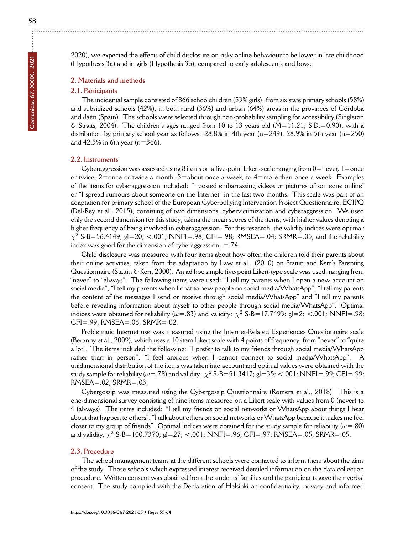2020), we expected the effects of child disclosure on risky online behaviour to be lower in late childhood

(Hypothesis 3a) and in girls (Hypothesis 3b), compared to early adolescents and boys.

## **2. Materials and methods**

#### **2.1. Participants**

The incidental sample consisted of 866 schoolchildren (53% girls), from six state primary schools (58%) and subsidized schools (42%), in both rural (36%) and urban (64%) areas in the provinces of Córdoba and Jaén (Spain). The schools were selected through non-probability sampling for accessibility (Singleton  $\&$  Straits, 2004). The children's ages ranged from 10 to 13 years old (M=11.21; S.D.=0.90), with a distribution by primary school year as follows: 28.8% in 4th year (n=249), 28.9% in 5th year (n=250) and  $42.3\%$  in 6th year (n= $366$ ).

## **2.2. Instruments**

Cyberaggression was assessed using 8 items on a five-point Likert-scale ranging from 0=never, 1=once or twice, 2=once or twice a month, 3=about once a week, to 4=more than once a week. Examples of the items for cyberaggression included: "I posted embarrassing videos or pictures of someone online" or "I spread rumours about someone on the Internet" in the last two months. This scale was part of an adaptation for primary school of the European Cyberbullying Intervention Project Questionnaire, ECIPQ (Del-Rey et al., 2015), consisting of two dimensions, cybervictimization and cyberaggression. We used only the second dimension for this study, taking the mean scores of the items, with higher values denoting a higher frequency of being involved in cyberaggression. For this research, the validity indices were optimal: *χ* <sup>2</sup> S-B=56.4149; gl=20; <.001; NNFI=.98; CFI=.98; RMSEA=.04; SRMR=.05, and the reliability index was good for the dimension of cyberaggression,  $=$ .74.

Child disclosure was measured with four items about how often the children told their parents about their online activities, taken from the adaptation by Law et al. (2010) on Stattin and Kerr's Parenting Questionnaire (Stattin & Kerr, 2000). An ad hoc simple five-point Likert-type scale was used, ranging from "never" to "always". The following items were used: "I tell my parents when I open a new account on social media", "I tell my parents when I chat to new people on social media/WhatsApp", "I tell my parents the content of the messages I send or receive through social media/WhatsApp" and "I tell my parents before revealing information about myself to other people through social media/WhatsApp". Optimal indices were obtained for reliability ( $\omega$ =.83) and validity:  $\chi^2$  S-B=17.7493; gl=2; <.001; NNFI=.98; CFI=.99; RMSEA=.06; SRMR=.02.

Problematic Internet use was measured using the Internet-Related Experiences Questionnaire scale (Beranuy et al., 2009), which uses a 10-item Likert scale with 4 points of frequency, from "never" to "quite a lot". The items included the following: "I prefer to talk to my friends through social media/WhatsApp rather than in person", "I feel anxious when I cannot connect to social media/WhatsApp". A unidimensional distribution of the items was taken into account and optimal values were obtained with the study sample for reliability ( $\omega$  = .78) and validity:  $\chi^2$  S-B=51.3417; gl=35; <.001; NNFI=.99; CFI=.99; RMSEA=.02; SRMR=.03.

Cybergossip was measured using the Cybergossip Questionnaire (Romera et al., 2018). This is a one-dimensional survey consisting of nine items measured on a Likert scale with values from 0 (never) to 4 (always). The items included: "I tell my friends on social networks or WhatsApp about things I hear about that happen to others", "I talk about others on social networks or WhatsApp because it makes me feel closer to my group of friends". Optimal indices were obtained for the study sample for reliability (*ω*=.80) and validity,  $\chi^2$  S-B=100.7370; gl=27; <.001; NNFI=.96; CFI=.97; RMSEA=.05; SRMR=.05.

# **2.3. Procedure**

The school management teams at the different schools were contacted to inform them about the aims of the study. Those schools which expressed interest received detailed information on the data collection procedure. Written consent was obtained from the students' families and the participants gave their verbal consent. The study complied with the Declaration of Helsinki on confidentiality, privacy and informed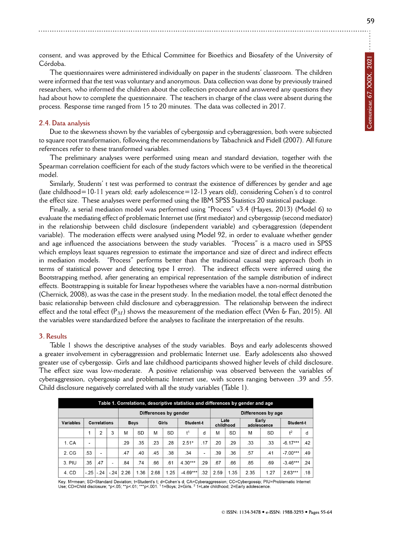consent, and was approved by the Ethical Committee for Bioethics and Biosafety of the University of Córdoba.

The questionnaires were administered individually on paper in the students' classroom. The children were informed that the test was voluntary and anonymous. Data collection was done by previously trained researchers, who informed the children about the collection procedure and answered any questions they had about how to complete the questionnaire. The teachers in charge of the class were absent during the process. Response time ranged from 15 to 20 minutes. The data was collected in 2017.

## **2.4. Data analysis**

Due to the skewness shown by the variables of cybergossip and cyberaggression, both were subjected to square root transformation, following the recommendations by Tabachnick and Fidell (2007). All future references refer to these transformed variables.

The preliminary analyses were performed using mean and standard deviation, together with the Spearman correlation coefficient for each of the study factors which were to be verified in the theoretical model.

Similarly, Students' t test was performed to contrast the existence of differences by gender and age (late childhood=10-11 years old; early adolescence=12-13 years old), considering Cohen's d to control the effect size. These analyses were performed using the IBM SPSS Statistics 20 statistical package.

Finally, a serial mediation model was performed using "Process" v3.4 (Hayes, 2013) (Model 6) to evaluate the mediating effect of problematic Internet use (first mediator) and cybergossip (second mediator) in the relationship between child disclosure (independent variable) and cyberaggression (dependent variable). The moderation effects were analysed using Model 92, in order to evaluate whether gender and age influenced the associations between the study variables. "Process" is a macro used in SPSS which employs least squares regression to estimate the importance and size of direct and indirect effects in mediation models. "Process" performs better than the traditional causal step approach (both in terms of statistical power and detecting type I error). The indirect effects were inferred using the Bootstrapping method, after generating an empirical representation of the sample distribution of indirect effects. Bootstrapping is suitable for linear hypotheses where the variables have a non-normal distribution (Chernick, 2008), as was the case in the present study. In the mediation model, the total effect denoted the basic relationship between child disclosure and cyberaggression. The relationship between the indirect effect and the total effect ( $P_M$ ) shows the measurement of the mediation effect (Wen & Fan, 2015). All the variables were standardized before the analyses to facilitate the interpretation of the results.

### **3. Results**

Table 1 shows the descriptive analyses of the study variables. Boys and early adolescents showed a greater involvement in cyberaggression and problematic Internet use. Early adolescents also showed greater use of cybergossip. Girls and late childhood participants showed higher levels of child disclosure. The effect size was low-moderate. A positive relationship was observed between the variables of cyberaggression, cybergossip and problematic Internet use, with scores ranging between .39 and .55. Child disclosure negatively correlated with all the study variables (Table 1).

| Table 1. Correlations, descriptive statistics and differences by gender and age |                       |        |                          |             |      |       |                    |            |                          |                   |      |                      |      |            |     |
|---------------------------------------------------------------------------------|-----------------------|--------|--------------------------|-------------|------|-------|--------------------|------------|--------------------------|-------------------|------|----------------------|------|------------|-----|
|                                                                                 | Differences by gender |        |                          |             |      |       | Differences by age |            |                          |                   |      |                      |      |            |     |
| Variables                                                                       | Correlations          |        |                          | <b>Boys</b> |      | Girls |                    | Student-t  |                          | Late<br>childhood |      | Early<br>adolescence |      | Student-t  |     |
|                                                                                 |                       | 2      | 3                        | M           | SD   | M     | <b>SD</b>          | $t^1$      | d                        | м                 | SD   | M                    | SD   | $t^2$      | d   |
| 1. CA                                                                           | ۰                     |        |                          | .29         | .35  | .23   | .28                | $2.51*$    | .17                      | .20               | .29  | .33                  | .33  | $-6.17***$ | .42 |
| 2. CG                                                                           | .53                   | ۰      |                          | .47         | .40  | .45   | .38                | .34        | $\overline{\phantom{0}}$ | .39               | .36  | .57                  | .41  | $-7.00***$ | .49 |
| $3.$ PIU                                                                        | .35                   | .47    | $\overline{\phantom{a}}$ | .84         | .74  | .66   | .61                | $4.30***$  | .29                      | .67               | .66  | .85                  | .69  | $-3.46***$ | 24  |
| 4. CD                                                                           | $-.25$                | $-.24$ | $-.24$                   | 2.26        | 1.36 | 2.68  | 1.25               | $-4.69***$ | .32                      | 2.59              | 1.35 | 2.35                 | 1.27 | $2.63***$  | .18 |

Key. M=mean; SD=Standard Deviation; t=Student's t; d=Cohen's d; CA=Cyberaggression; CC=Cybergossip; PIU=Problematic Internet<br>Use; CD=Child disclosure; \*p<.05; \*\*p<.01; \*\*\*p<.001. 11=Boys; 2=Girls. <sup>2</sup> 1=Late childhood; 2=E

**59**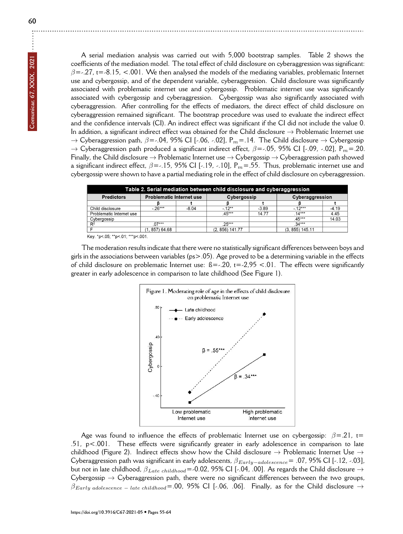**60**

A serial mediation analysis was carried out with 5,000 bootstrap samples. Table 2 shows the coefficients of the mediation model. The total effect of child disclosure on cyberaggression was significant: *β*=-.27, t=-8.15, <.001. We then analysed the models of the mediating variables, problematic Internet use and cybergossip, and of the dependent variable, cyberaggression. Child disclosure was significantly associated with problematic internet use and cybergossip. Problematic internet use was significantly associated with cybergossip and cyberaggression. Cybergossip was also significantly associated with cyberaggression. After controlling for the effects of mediators, the direct effect of child disclosure on cyberaggression remained significant. The bootstrap procedure was used to evaluate the indirect effect and the confidence intervals (CI). An indirect effect was significant if the CI did not include the value 0. In addition, a significant indirect effect was obtained for the Child disclosure *→* Problematic Internet use *→* Cyberaggression path, *β*=-.04, 95% CI [-.06, -.02], P*m*=.14. The Child disclosure *→* Cybergossip *→* Cyberaggression path produced a significant indirect effect, *β*=-.05, 95% CI [-.09, -.02], P*m*=.20. Finally, the Child disclosure *→* Problematic Internet use *→* Cybergossip *→* Cyberaggression path showed a significant indirect effect, *β*=-.15, 95% CI [-.19, -.10], P*m*=.55. Thus, problematic internet use and cybergossip were shown to have a partial mediating role in the effect of child disclosure on cyberaggression.

| Table 2. Serial mediation between child disclosure and cyberaggression |                                 |         |                   |         |                   |         |  |  |  |  |  |
|------------------------------------------------------------------------|---------------------------------|---------|-------------------|---------|-------------------|---------|--|--|--|--|--|
| <b>Predictors</b>                                                      | <b>Problematic Internet use</b> |         | Cybergossip       |         | Cyberaggression   |         |  |  |  |  |  |
|                                                                        |                                 |         |                   |         |                   |         |  |  |  |  |  |
| Child disclosure                                                       | $-26***$                        | $-8.04$ | $-12**$           | $-3.89$ | $-12***$          | $-4.19$ |  |  |  |  |  |
| Problematic Internet use                                               |                                 |         | $45***$           | 14.77   | $14***$           | 4.45    |  |  |  |  |  |
| Cybergossip                                                            |                                 |         |                   |         | $45***$           | 14.03   |  |  |  |  |  |
| $R^2$                                                                  | $07***$                         |         | $.25***$          |         | $.34***$          |         |  |  |  |  |  |
|                                                                        | (1, 857) 64.68                  |         | $(2, 856)$ 141.77 |         | $(3, 855)$ 145.11 |         |  |  |  |  |  |
|                                                                        |                                 |         |                   |         |                   |         |  |  |  |  |  |

Key. \*p<.05; \*\*p<.01; \*\*\*p<.001

The moderation results indicate that there were no statistically significant differences between boys and girls in the associations between variables ( $ps > .05$ ). Age proved to be a determining variable in the effects of child disclosure on problematic Internet use:  $B = 2.20$ ,  $t = 2.95$  <.01. The effects were significantly greater in early adolescence in comparison to late childhood (See Figure 1).



Age was found to influence the effects of problematic Internet use on cybergossip: *β*=.21, t= .51, p<.001. These effects were significantly greater in early adolescence in comparison to late childhood (Figure 2). Indirect effects show how the Child disclosure *→* Problematic Internet Use *→* Cyberaggression path was significant in early adolescents, *βEarly−adolescence*= .07, 95% CI [-.12, -.03], but not in late childhood, *βLate childhood*=-0.02, 95% CI [-.04, .00]. As regards the Child disclosure *→* Cybergossip *→* Cyberaggression path, there were no significant differences between the two groups, *βEarly adolescence <sup>−</sup> late childhood*=.00, 95% CI [-.06, .06]. Finally, as for the Child disclosure *→*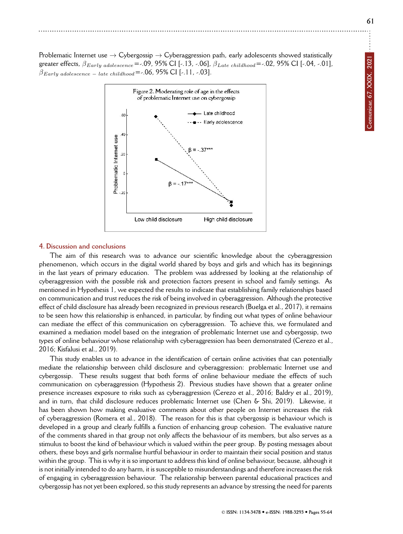**Comunicar, 67, XXIX, 2021**

Comunicar, 67, XXIX, 2021



# **4. Discussion and conclusions**

The aim of this research was to advance our scientific knowledge about the cyberaggression phenomenon, which occurs in the digital world shared by boys and girls and which has its beginnings in the last years of primary education. The problem was addressed by looking at the relationship of cyberaggression with the possible risk and protection factors present in school and family settings. As mentioned in Hypothesis 1, we expected the results to indicate that establishing family relationships based on communication and trust reduces the risk of being involved in cyberaggression. Although the protective effect of child disclosure has already been recognized in previous research (Buelga et al., 2017), it remains to be seen how this relationship is enhanced, in particular, by finding out what types of online behaviour can mediate the effect of this communication on cyberaggression. To achieve this, we formulated and examined a mediation model based on the integration of problematic Internet use and cybergossip, two types of online behaviour whose relationship with cyberaggression has been demonstrated (Cerezo et al., 2016; Kisfalusi et al., 2019).

This study enables us to advance in the identification of certain online activities that can potentially mediate the relationship between child disclosure and cyberaggression: problematic Internet use and cybergossip. These results suggest that both forms of online behaviour mediate the effects of such communication on cyberaggression (Hypothesis 2). Previous studies have shown that a greater online presence increases exposure to risks such as cyberaggression (Cerezo et al., 2016; Baldry et al., 2019), and in turn, that child disclosure reduces problematic Internet use (Chen & Shi, 2019). Likewise, it has been shown how making evaluative comments about other people on Internet increases the risk of cyberaggression (Romera et al., 2018). The reason for this is that cybergossip is behaviour which is developed in a group and clearly fulfills a function of enhancing group cohesion. The evaluative nature of the comments shared in that group not only affects the behaviour of its members, but also serves as a stimulus to boost the kind of behaviour which is valued within the peer group. By posting messages about others, these boys and girls normalise hurtful behaviour in order to maintain their social position and status within the group. This is why it is so important to address this kind of online behaviour, because, although it is not initially intended to do any harm, it is susceptible to misunderstandings and therefore increases the risk of engaging in cyberaggression behaviour. The relationship between parental educational practices and cybergossip has not yet been explored, so this study represents an advance by stressing the need for parents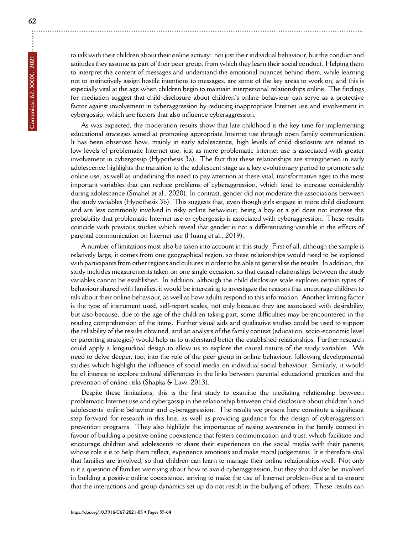to talk with their children about their online activity: not just their individual behaviour, but the conduct and attitudes they assume as part of their peer group, from which they learn their social conduct. Helping them to interpret the content of messages and understand the emotional nuances behind them, while learning not to instinctively assign hostile intentions to messages, are some of the key areas to work on, and this is especially vital at the age when children begin to maintain interpersonal relationships online. The findings for mediation suggest that child disclosure about children's online behaviour can serve as a protective factor against involvement in cyberaggression by reducing inappropriate Internet use and involvement in cybergossip, which are factors that also influence cyberaggression.

As was expected, the moderation results show that late childhood is the key time for implementing educational strategies aimed at promoting appropriate Internet use through open family communication. It has been observed how, mainly in early adolescence, high levels of child disclosure are related to low levels of problematic Internet use, just as more problematic Internet use is associated with greater involvement in cybergossip (Hypothesis 3a). The fact that these relationships are strengthened in early adolescence highlights the transition to the adolescent stage as a key evolutionary period to promote safe online use, as well as underlining the need to pay attention at these vital, transformative ages to the most important variables that can reduce problems of cyberaggression, which tend to increase considerably during adolescence (Smahel et al., 2020). In contrast, gender did not moderate the associations between the study variables (Hypothesis 3b). This suggests that, even though girls engage in more child disclosure and are less commonly involved in risky online behaviour, being a boy or a girl does not increase the probability that problematic Internet use or cybergossip is associated with cyberaggression. These results coincide with previous studies which reveal that gender is not a differentiating variable in the effects of parental communication on Internet use (Huang et al., 2019).

A number of limitations must also be taken into account in this study. First of all, although the sample is relatively large, it comes from one geographical region, so these relationships would need to be explored with participants from other regions and cultures in order to be able to generalise the results. In addition, the study includes measurements taken on one single occasion, so that causal relationships between the study variables cannot be established. In addition, although the child disclosure scale explores certain types of behaviour shared with families, it would be interesting to investigate the reasons that encourage children to talk about their online behaviour, as well as how adults respond to this information. Another limiting factor is the type of instrument used, self-report scales, not only because they are associated with desirability, but also because, due to the age of the children taking part, some difficulties may be encountered in the reading comprehension of the items. Further visual aids and qualitative studies could be used to support the reliability of the results obtained, and an analysis of the family context (education, socio-economic level or parenting strategies) would help us to understand better the established relationships. Further research could apply a longitudinal design to allow us to explore the causal nature of the study variables. We need to delve deeper, too, into the role of the peer group in online behaviour, following developmental studies which highlight the influence of social media on individual social behaviour. Similarly, it would be of interest to explore cultural differences in the links between parental educational practices and the prevention of online risks (Shapka & Law, 2013).

Despite these limitations, this is the first study to examine the mediating relationship between problematic Internet use and cybergossip in the relationship between child disclosure about children's and adolescents' online behaviour and cyberaggression. The results we present here constitute a significant step forward for research in this line, as well as providing guidance for the design of cyberaggression prevention programs. They also highlight the importance of raising awareness in the family context in favour of building a positive online coexistence that fosters communication and trust, which facilitate and encourage children and adolescents to share their experiences on the social media with their parents, whose role it is to help them reflect, experience emotions and make moral judgements. It is therefore vital that families are involved, so that children can learn to manage their online relationships well. Not only is it a question of families worrying about how to avoid cyberaggression, but they should also be involved in building a positive online coexistence, striving to make the use of Internet problem-free and to ensure that the interactions and group dynamics set up do not result in the bullying of others. These results can

÷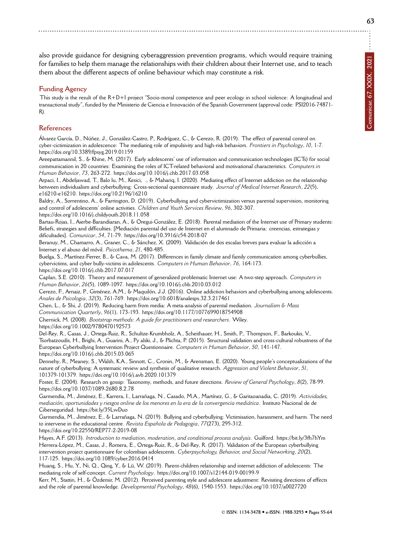**63**

also provide guidance for designing cyberaggression prevention programs, which would require training for families to help them manage the relationships with their children about their Internet use, and to teach them about the different aspects of online behaviour which may constitute a risk.

#### **Funding Agency**

This study is the result of the R+D+I project "Socio-moral competence and peer ecology in school violence: A longitudinal and transactional study", funded by the Ministerio de Ciencia e Innovación of the Spanish Government (approval code: PSI2016-74871- R).

## **References**

Álvarez García, D., Núñez, J., González-Castro, P., Rodríguez, C., & Cerezo, R. (2019). The effect of parental control on cyber-cictimization in adolescence: The mediating role of impulsivity and high-risk behaviors. *Frontiers in Psychology*, *10*, 1-7. <https://doi.org/10.3389/fpsyg.2019.01159>

Areepattamannil, S., & Khine, M. (2017). Early adolescents' use of information and communication technologies (ICTs) for social communication in 20 countries: Examining the roles of ICT-related behavioral and motivational characteristics. *Computers in Human Behavior*, *73*, 263-272.<https://doi.org/10.1016/j.chb.2017.03.058>

Arpaci, I., Abdeljawad, T., Balolu, M., Kesici, ., & Mahariq, I. (2020). Mediating effect of Internet addiction on the relationship between individualism and cyberbullying: Cross-sectional questionnaire study. *Journal of Medical Internet Research*, *22*(5), e16210-e16210.<https://doi.org/10.2196/16210>

Baldry, A., Sorrentino, A., & Farrington, D. (2019). Cyberbullying and cybervictimization versus parental supervision, monitoring and control of adolescents' online activities. *Children and Youth Services Review*, *96*, 302-307. <https://doi.org/10.1016/j.childyouth.2018.11.058>

Bartau-Rojas, I., Aierbe-Barandiaran, A., & Oregui-González, E. (2018). Parental mediation of the Internet use of Primary students: Beliefs, strategies and difficulties. [Mediación parental del uso de Internet en el alumnado de Primaria: creencias, estrategias y dificultades]. *Comunicar*, *54*, 71-79.<https://doi.org/10.3916/c54-2018-07>

Beranuy, M., Chamarro, A., Graner, C., & Sánchez, X. (2009). Validación de dos escalas breves para evaluar la adicción a Internet y el abuso del móvil. *Psicothema*, *21*, 480-485.

Buelga, S., Martínez-Ferrer, B., & Cava, M. (2017). Differences in family climate and family communication among cyberbullies, cybervictims, and cyber bully-victims in adolescents. *Computers in Human Behavior*, *76*, 164-173. <https://doi.org/10.1016/j.chb.2017.07.017>

Caplan, S.E. (2010). Theory and measurement of generalized problematic Internet use: A two-step approach. *Computers in Human Behavior*, *26*(5), 1089-1097.<https://doi.org/10.1016/j.chb.2010.03.012>

Cerezo, F., Arnaiz, P., Giménez, A.M., & Maquilón, J.J. (2016). Online addiction behaviors and cyberbullying among adolescents. *Anales de Psicologia*, *32*(3), 761-769.<https://doi.org/10.6018/analesps.32.3.217461>

Chen, L., & Shi, J. (2019). Reducing harm from media: A meta-analysis of parental mediation. *Journalism & Mass Communication Quarterly*, *96*(1), 173-193.<https://doi.org/10.1177/1077699018754908>

Chernick, M. (2008). *Bootstrap methods: A guide for practitioners and researchers*. Wiley. <https://doi.org/10.1002/9780470192573>

Del-Rey, R., Casas, J., Ortega-Ruiz, R., Schultze-Krumbholz, A., Scheithauer, H., Smith, P., Thompson, F., Barkoukis, V., Tsorbatzoudis, H., Brighi, A., Guarini, A., Pyalski, J., & Plichta, P. (2015). Structural validation and cross-cultural robustness of the European Cyberbullying Intervention Project Questionnaire. *Computers in Human Behavior*, *50*, 141-147. <https://doi.org/10.1016/j.chb.2015.03.065>

Dennehy, R., Meaney, S., Walsh, K.A., Sinnott, C., Cronin, M., & Arensman, E. (2020). Young people's conceptualizations of the nature of cyberbullying: A systematic review and synthesis of qualitative research. *Aggression and Violent Behavior*, *51*, 101379-101379.<https://doi.org/10.1016/j.avb.2020.101379>

Foster, E. (2004). Research on gossip: Taxonomy, methods, and future directions. *Review of General Psychology*, *8*(2), 78-99. <https://doi.org/10.1037/1089-2680.8.2.78>

Garmendia, M., Jiménez, E., Karrera, I., Larrañaga, N., Casado, M.A., Martínez, G., & Garitaoanadia, C. (2019). *Actividades, mediación, oportunidades y riesgos online de los menores en la era de la convergencia mediática*. Instituto Nacional de de Ciberseguridad.<https://bit.ly/35LwDuo>

Garmendia, M., Jiménez, E., & Larrañaga, N. (2019). Bullying and cyberbullying: Victimisation, harassment, and harm. The need to intervene in the educational centre. *Revista Española de Pedagogia*, *77*(273), 295-312. <https://doi.org/10.22550/REP77-2-2019-08>

Hayes, A.F. (2013). *Introduction to mediation, moderation, and conditional process analysis*. Guilford.<https://bit.ly/3fh7hYm> Herrera-López, M., Casas, J., Romera, E., Ortega-Ruiz, R., & Del-Rey, R. (2017). Validation of the European cyberbullying intervention project questionnaire for colombian adolescents. *Cyberpsychology, Behavior, and Social Networking*, *20*(2), 117-125.<https://doi.org/10.1089/cyber.2016.0414>

Huang, S., Hu, Y., Ni, Q., Qing, Y., & Lü, W. (2019). Parent-children relationship and internet addiction of adolescents: The mediating role of self-concept. *Current Psychology*.<https://doi.org/10.1007/s12144-019-00199-9>

Kerr, M., Stattin, H., & Özdemir, M. (2012). Perceived parenting style and adolescent adjustment: Revisiting directions of effects and the role of parental knowledge. *Developmental Psychology*, *48*(6), 1540-1553.<https://doi.org/10.1037/a0027720>